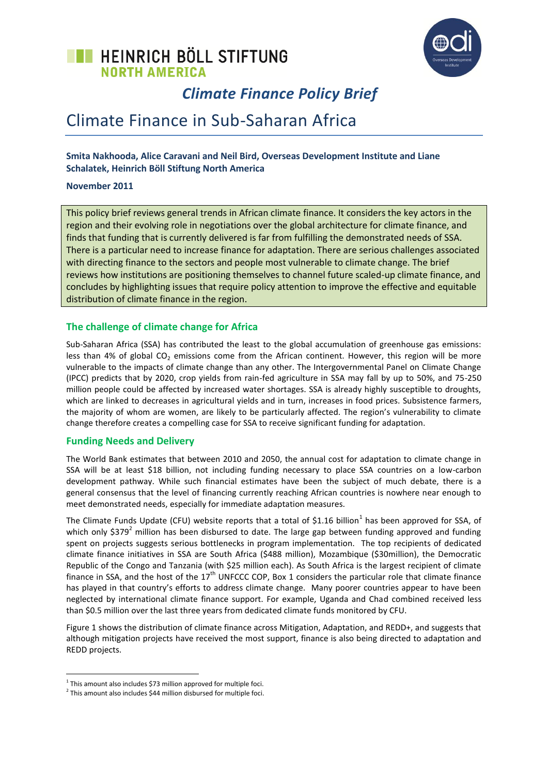# **TE HEINRICH BÖLL STIFTUNG NORTH AMERICA**



# *Climate Finance Policy Brief*

# Climate Finance in Sub-Saharan Africa

### **Smita Nakhooda, Alice Caravani and Neil Bird, Overseas Development Institute and Liane Schalatek, Heinrich Böll Stiftung North America**

#### **November 2011**

This policy brief reviews general trends in African climate finance. It considers the key actors in the region and their evolving role in negotiations over the global architecture for climate finance, and finds that funding that is currently delivered is far from fulfilling the demonstrated needs of SSA. There is a particular need to increase finance for adaptation. There are serious challenges associated with directing finance to the sectors and people most vulnerable to climate change. The brief reviews how institutions are positioning themselves to channel future scaled-up climate finance, and concludes by highlighting issues that require policy attention to improve the effective and equitable distribution of climate finance in the region.

#### **The challenge of climate change for Africa**

Sub-Saharan Africa (SSA) has contributed the least to the global accumulation of greenhouse gas emissions: less than 4% of global CO<sub>2</sub> emissions come from the African continent. However, this region will be more vulnerable to the impacts of climate change than any other. The Intergovernmental Panel on Climate Change (IPCC) predicts that by 2020, crop yields from rain-fed agriculture in SSA may fall by up to 50%, and 75-250 million people could be affected by increased water shortages. SSA is already highly susceptible to droughts, which are linked to decreases in agricultural yields and in turn, increases in food prices. Subsistence farmers, the majority of whom are women, are likely to be particularly affected. The region's vulnerability to climate change therefore creates a compelling case for SSA to receive significant funding for adaptation.

#### **Funding Needs and Delivery**

The World Bank estimates that between 2010 and 2050, the annual cost for adaptation to climate change in SSA will be at least \$18 billion, not including funding necessary to place SSA countries on a low-carbon development pathway. While such financial estimates have been the subject of much debate, there is a general consensus that the level of financing currently reaching African countries is nowhere near enough to meet demonstrated needs, especially for immediate adaptation measures.

The Climate Funds Update (CFU) website reports that a total of \$1.16 billion<sup>1</sup> has been approved for SSA, of which only  $$379<sup>2</sup>$  million has been disbursed to date. The large gap between funding approved and funding spent on projects suggests serious bottlenecks in program implementation. The top recipients of dedicated climate finance initiatives in SSA are South Africa (\$488 million), Mozambique (\$30million), the Democratic Republic of the Congo and Tanzania (with \$25 million each). As South Africa is the largest recipient of climate finance in SSA, and the host of the  $17<sup>th</sup>$  UNFCCC COP, Box 1 considers the particular role that climate finance has played in that country's efforts to address climate change. Many poorer countries appear to have been neglected by international climate finance support. For example, Uganda and Chad combined received less than \$0.5 million over the last three years from dedicated climate funds monitored by CFU.

Figure 1 shows the distribution of climate finance across Mitigation, Adaptation, and REDD+, and suggests that although mitigation projects have received the most support, finance is also being directed to adaptation and REDD projects.

1

 $1$  This amount also includes \$73 million approved for multiple foci.

 $2$  This amount also includes \$44 million disbursed for multiple foci.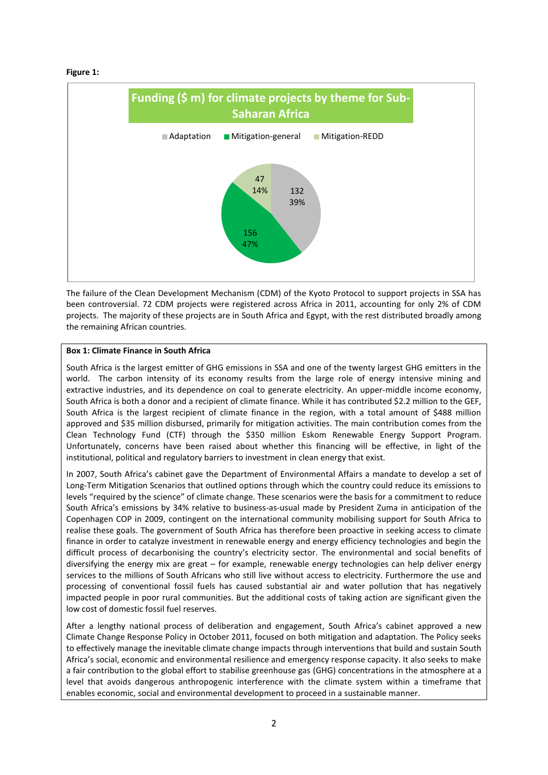#### **Figure 1:**



The failure of the Clean Development Mechanism (CDM) of the Kyoto Protocol to support projects in SSA has been controversial. 72 CDM projects were registered across Africa in 2011, accounting for only 2% of CDM projects. The majority of these projects are in South Africa and Egypt, with the rest distributed broadly among the remaining African countries.

#### **Box 1: Climate Finance in South Africa**

South Africa is the largest emitter of GHG emissions in SSA and one of the twenty largest GHG emitters in the world. The carbon intensity of its economy results from the large role of energy intensive mining and extractive industries, and its dependence on coal to generate electricity. An upper-middle income economy, South Africa is both a donor and a recipient of climate finance. While it has contributed \$2.2 million to the GEF, South Africa is the largest recipient of climate finance in the region, with a total amount of \$488 million approved and \$35 million disbursed, primarily for mitigation activities. The main contribution comes from the Clean Technology Fund (CTF) through the \$350 million Eskom Renewable Energy Support Program. Unfortunately, concerns have been raised about whether this financing will be effective, in light of the institutional, political and regulatory barriers to investment in clean energy that exist.

In 2007, South Africa's cabinet gave the Department of Environmental Affairs a mandate to develop a set of Long-Term Mitigation Scenarios that outlined options through which the country could reduce its emissions to levels "required by the science" of climate change. These scenarios were the basis for a commitment to reduce South Africa's emissions by 34% relative to business-as-usual made by President Zuma in anticipation of the Copenhagen COP in 2009, contingent on the international community mobilising support for South Africa to realise these goals. The government of South Africa has therefore been proactive in seeking access to climate finance in order to catalyze investment in renewable energy and energy efficiency technologies and begin the difficult process of decarbonising the country's electricity sector. The environmental and social benefits of diversifying the energy mix are great – for example, renewable energy technologies can help deliver energy services to the millions of South Africans who still live without access to electricity. Furthermore the use and processing of conventional fossil fuels has caused substantial air and water pollution that has negatively impacted people in poor rural communities. But the additional costs of taking action are significant given the low cost of domestic fossil fuel reserves.

After a lengthy national process of deliberation and engagement, South Africa's cabinet approved a new Climate Change Response Policy in October 2011, focused on both mitigation and adaptation. The Policy seeks to effectively manage the inevitable climate change impacts through interventions that build and sustain South Africa's social, economic and environmental resilience and emergency response capacity. It also seeks to make a fair contribution to the global effort to stabilise greenhouse gas (GHG) concentrations in the atmosphere at a level that avoids dangerous anthropogenic interference with the climate system within a timeframe that enables economic, social and environmental development to proceed in a sustainable manner.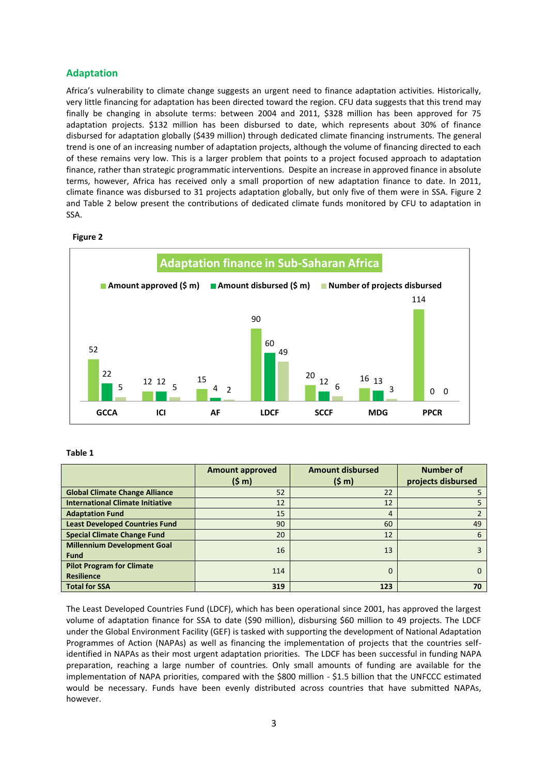### **Adaptation**

Africa's vulnerability to climate change suggests an urgent need to finance adaptation activities. Historically, very little financing for adaptation has been directed toward the region. CFU data suggests that this trend may finally be changing in absolute terms: between 2004 and 2011, \$328 million has been approved for 75 adaptation projects. \$132 million has been disbursed to date, which represents about 30% of finance disbursed for adaptation globally (\$439 million) through dedicated climate financing instruments. The general trend is one of an increasing number of adaptation projects, although the volume of financing directed to each of these remains very low. This is a larger problem that points to a project focused approach to adaptation finance, rather than strategic programmatic interventions. Despite an increase in approved finance in absolute terms, however, Africa has received only a small proportion of new adaptation finance to date. In 2011, climate finance was disbursed to 31 projects adaptation globally, but only five of them were in SSA. Figure 2 and Table 2 below present the contributions of dedicated climate funds monitored by CFU to adaptation in SSA.

#### **Figure 2**



#### **Table 1**

|                                         | <b>Amount approved</b> | <b>Amount disbursed</b> | <b>Number of</b>   |
|-----------------------------------------|------------------------|-------------------------|--------------------|
|                                         | (5 <sub>m</sub> )      | (5 m)                   | projects disbursed |
| <b>Global Climate Change Alliance</b>   | 52                     | 22                      |                    |
| <b>International Climate Initiative</b> | 12                     | 12                      |                    |
| <b>Adaptation Fund</b>                  | 15                     | 4                       |                    |
| <b>Least Developed Countries Fund</b>   | 90                     | 60                      | 49                 |
| <b>Special Climate Change Fund</b>      | 20                     | 12                      | 6                  |
| <b>Millennium Development Goal</b>      | 16                     | 13                      |                    |
| <b>Fund</b>                             |                        |                         |                    |
| <b>Pilot Program for Climate</b>        | 114                    | 0                       |                    |
| <b>Resilience</b>                       |                        |                         |                    |
| <b>Total for SSA</b>                    | 319                    | 123                     | 70                 |

The Least Developed Countries Fund (LDCF), which has been operational since 2001, has approved the largest volume of adaptation finance for SSA to date (\$90 million), disbursing \$60 million to 49 projects. The LDCF under the Global Environment Facility (GEF) is tasked with supporting the development of National Adaptation Programmes of Action (NAPAs) as well as financing the implementation of projects that the countries selfidentified in NAPAs as their most urgent adaptation priorities. The LDCF has been successful in funding NAPA preparation, reaching a large number of countries. Only small amounts of funding are available for the implementation of NAPA priorities, compared with the \$800 million - \$1.5 billion that the UNFCCC estimated would be necessary. Funds have been evenly distributed across countries that have submitted NAPAs, however.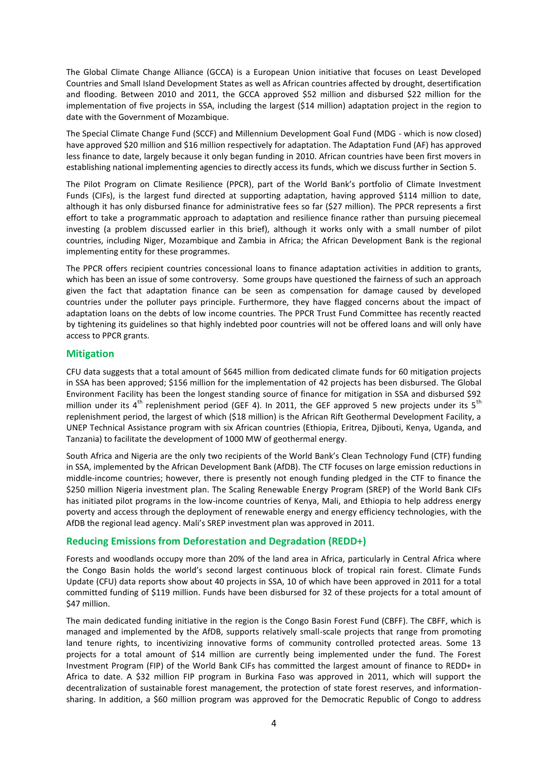The Global Climate Change Alliance (GCCA) is a European Union initiative that focuses on Least Developed Countries and Small Island Development States as well as African countries affected by drought, desertification and flooding. Between 2010 and 2011, the GCCA approved \$52 million and disbursed \$22 million for the implementation of five projects in SSA, including the largest (\$14 million) adaptation project in the region to date with the Government of Mozambique.

The Special Climate Change Fund (SCCF) and Millennium Development Goal Fund (MDG - which is now closed) have approved \$20 million and \$16 million respectively for adaptation. The Adaptation Fund (AF) has approved less finance to date, largely because it only began funding in 2010. African countries have been first movers in establishing national implementing agencies to directly access its funds, which we discuss further in Section 5.

The Pilot Program on Climate Resilience (PPCR), part of the World Bank's portfolio of Climate Investment Funds (CIFs), is the largest fund directed at supporting adaptation, having approved \$114 million to date, although it has only disbursed finance for administrative fees so far (\$27 million). The PPCR represents a first effort to take a programmatic approach to adaptation and resilience finance rather than pursuing piecemeal investing (a problem discussed earlier in this brief), although it works only with a small number of pilot countries, including Niger, Mozambique and Zambia in Africa; the African Development Bank is the regional implementing entity for these programmes.

The PPCR offers recipient countries concessional loans to finance adaptation activities in addition to grants, which has been an issue of some controversy. Some groups have questioned the fairness of such an approach given the fact that adaptation finance can be seen as compensation for damage caused by developed countries under the polluter pays principle. Furthermore, they have flagged concerns about the impact of adaptation loans on the debts of low income countries. The PPCR Trust Fund Committee has recently reacted by tightening its guidelines so that highly indebted poor countries will not be offered loans and will only have access to PPCR grants.

#### **Mitigation**

CFU data suggests that a total amount of \$645 million from dedicated climate funds for 60 mitigation projects in SSA has been approved; \$156 million for the implementation of 42 projects has been disbursed. The Global Environment Facility has been the longest standing source of finance for mitigation in SSA and disbursed \$92 million under its  $4^{th}$  replenishment period (GEF 4). In 2011, the GEF approved 5 new projects under its  $5^{th}$ replenishment period, the largest of which (\$18 million) is the African Rift Geothermal Development Facility, a UNEP Technical Assistance program with six African countries (Ethiopia, Eritrea, Djibouti, Kenya, Uganda, and Tanzania) to facilitate the development of 1000 MW of geothermal energy.

South Africa and Nigeria are the only two recipients of the World Bank's Clean Technology Fund (CTF) funding in SSA, implemented by the African Development Bank (AfDB). The CTF focuses on large emission reductions in middle-income countries; however, there is presently not enough funding pledged in the CTF to finance the \$250 million Nigeria investment plan. The Scaling Renewable Energy Program (SREP) of the World Bank CIFs has initiated pilot programs in the low-income countries of Kenya, Mali, and Ethiopia to help address energy poverty and access through the deployment of renewable energy and energy efficiency technologies, with the AfDB the regional lead agency. Mali's SREP investment plan was approved in 2011.

#### **Reducing Emissions from Deforestation and Degradation (REDD+)**

Forests and woodlands occupy more than 20% of the land area in Africa, particularly in Central Africa where the Congo Basin holds the world's second largest continuous block of tropical rain forest. Climate Funds Update (CFU) data reports show about 40 projects in SSA, 10 of which have been approved in 2011 for a total committed funding of \$119 million. Funds have been disbursed for 32 of these projects for a total amount of \$47 million.

The main dedicated funding initiative in the region is the Congo Basin Forest Fund (CBFF). The CBFF, which is managed and implemented by the AfDB, supports relatively small-scale projects that range from promoting land tenure rights, to incentivizing innovative forms of community controlled protected areas. Some 13 projects for a total amount of \$14 million are currently being implemented under the fund. The Forest Investment Program (FIP) of the World Bank CIFs has committed the largest amount of finance to REDD+ in Africa to date. A \$32 million FIP program in Burkina Faso was approved in 2011, which will support the decentralization of sustainable forest management, the protection of state forest reserves, and informationsharing. In addition, a \$60 million program was approved for the Democratic Republic of Congo to address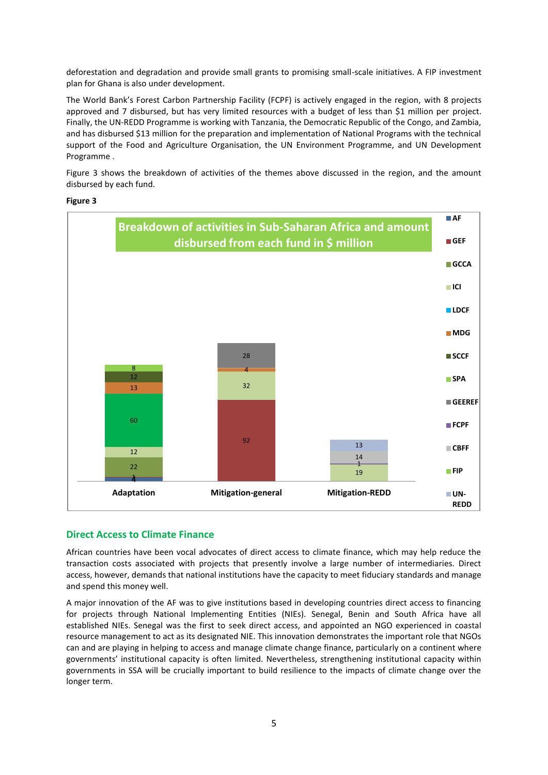deforestation and degradation and provide small grants to promising small-scale initiatives. A FIP investment plan for Ghana is also under development.

The World Bank's Forest Carbon Partnership Facility (FCPF) is actively engaged in the region, with 8 projects approved and 7 disbursed, but has very limited resources with a budget of less than \$1 million per project. Finally, the UN-REDD Programme is working with Tanzania, the Democratic Republic of the Congo, and Zambia, and has disbursed \$13 million for the preparation and implementation of National Programs with the technical support of the Food and Agriculture Organisation, the UN Environment Programme, and UN Development Programme .

Figure 3 shows the breakdown of activities of the themes above discussed in the region, and the amount disbursed by each fund.

#### **Figure 3**



#### **Direct Access to Climate Finance**

African countries have been vocal advocates of direct access to climate finance, which may help reduce the transaction costs associated with projects that presently involve a large number of intermediaries. Direct access, however, demands that national institutions have the capacity to meet fiduciary standards and manage and spend this money well.

A major innovation of the AF was to give institutions based in developing countries direct access to financing for projects through National Implementing Entities (NIEs). Senegal, Benin and South Africa have all established NIEs. Senegal was the first to seek direct access, and appointed an NGO experienced in coastal resource management to act as its designated NIE. This innovation demonstrates the important role that NGOs can and are playing in helping to access and manage climate change finance, particularly on a continent where governments' institutional capacity is often limited. Nevertheless, strengthening institutional capacity within governments in SSA will be crucially important to build resilience to the impacts of climate change over the longer term.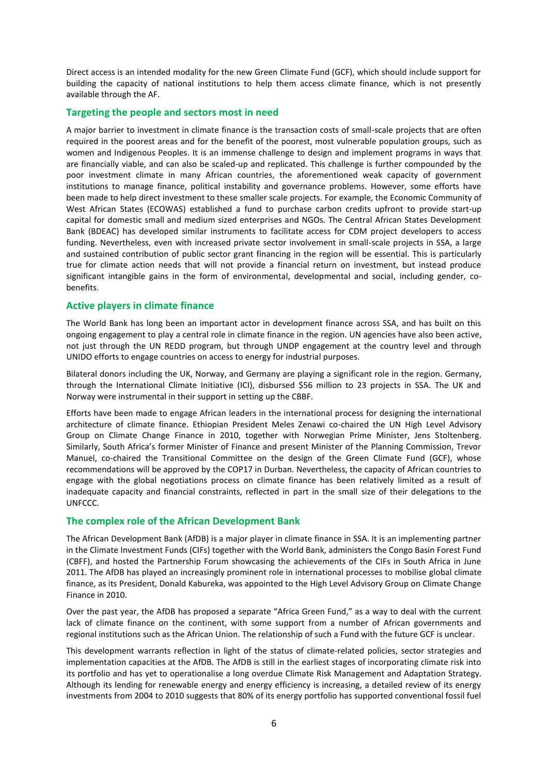Direct access is an intended modality for the new Green Climate Fund (GCF), which should include support for building the capacity of national institutions to help them access climate finance, which is not presently available through the AF.

#### **Targeting the people and sectors most in need**

A major barrier to investment in climate finance is the transaction costs of small-scale projects that are often required in the poorest areas and for the benefit of the poorest, most vulnerable population groups, such as women and Indigenous Peoples. It is an immense challenge to design and implement programs in ways that are financially viable, and can also be scaled-up and replicated. This challenge is further compounded by the poor investment climate in many African countries, the aforementioned weak capacity of government institutions to manage finance, political instability and governance problems. However, some efforts have been made to help direct investment to these smaller scale projects. For example, the Economic Community of West African States (ECOWAS) established a fund to purchase carbon credits upfront to provide start-up capital for domestic small and medium sized enterprises and NGOs. The Central African States Development Bank (BDEAC) has developed similar instruments to facilitate access for CDM project developers to access funding. Nevertheless, even with increased private sector involvement in small-scale projects in SSA, a large and sustained contribution of public sector grant financing in the region will be essential. This is particularly true for climate action needs that will not provide a financial return on investment, but instead produce significant intangible gains in the form of environmental, developmental and social, including gender, cobenefits.

#### **Active players in climate finance**

The World Bank has long been an important actor in development finance across SSA, and has built on this ongoing engagement to play a central role in climate finance in the region. UN agencies have also been active, not just through the UN REDD program, but through UNDP engagement at the country level and through UNIDO efforts to engage countries on access to energy for industrial purposes.

Bilateral donors including the UK, Norway, and Germany are playing a significant role in the region. Germany, through the International Climate Initiative (ICI), disbursed \$56 million to 23 projects in SSA. The UK and Norway were instrumental in their support in setting up the CBBF.

Efforts have been made to engage African leaders in the international process for designing the international architecture of climate finance. Ethiopian President Meles Zenawi co-chaired the UN High Level Advisory Group on Climate Change Finance in 2010, together with Norwegian Prime Minister, Jens Stoltenberg. Similarly, South Africa's former Minister of Finance and present Minister of the Planning Commission, Trevor Manuel, co-chaired the Transitional Committee on the design of the Green Climate Fund (GCF), whose recommendations will be approved by the COP17 in Durban. Nevertheless, the capacity of African countries to engage with the global negotiations process on climate finance has been relatively limited as a result of inadequate capacity and financial constraints, reflected in part in the small size of their delegations to the UNFCCC.

#### **The complex role of the African Development Bank**

The African Development Bank (AfDB) is a major player in climate finance in SSA. It is an implementing partner in the Climate Investment Funds (CIFs) together with the World Bank, administers the Congo Basin Forest Fund (CBFF), and hosted the Partnership Forum showcasing the achievements of the CIFs in South Africa in June 2011. The AfDB has played an increasingly prominent role in international processes to mobilise global climate finance, as its President, Donald Kabureka, was appointed to the High Level Advisory Group on Climate Change Finance in 2010.

Over the past year, the AfDB has proposed a separate "Africa Green Fund," as a way to deal with the current lack of climate finance on the continent, with some support from a number of African governments and regional institutions such as the African Union. The relationship of such a Fund with the future GCF is unclear.

This development warrants reflection in light of the status of climate-related policies, sector strategies and implementation capacities at the AfDB. The AfDB is still in the earliest stages of incorporating climate risk into its portfolio and has yet to operationalise a long overdue Climate Risk Management and Adaptation Strategy. Although its lending for renewable energy and energy efficiency is increasing, a detailed review of its energy investments from 2004 to 2010 suggests that 80% of its energy portfolio has supported conventional fossil fuel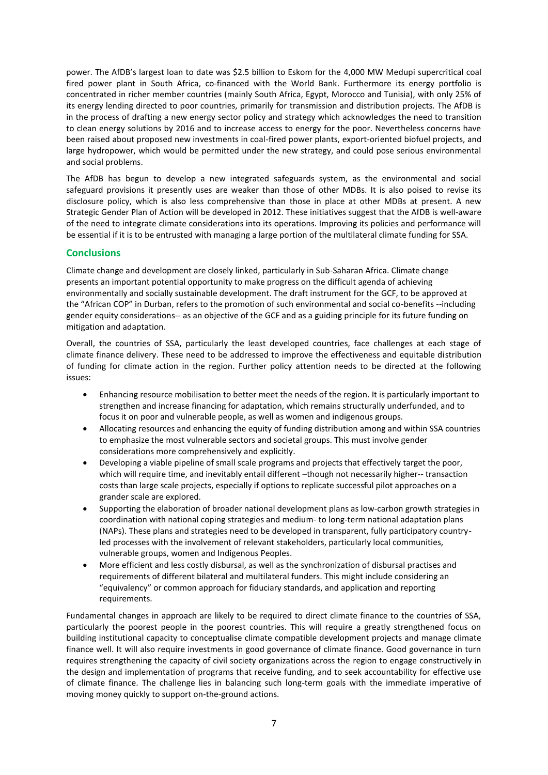power. The AfDB's largest loan to date was \$2.5 billion to Eskom for the 4,000 MW Medupi supercritical coal fired power plant in South Africa, co-financed with the World Bank. Furthermore its energy portfolio is concentrated in richer member countries (mainly South Africa, Egypt, Morocco and Tunisia), with only 25% of its energy lending directed to poor countries, primarily for transmission and distribution projects. The AfDB is in the process of drafting a new energy sector policy and strategy which acknowledges the need to transition to clean energy solutions by 2016 and to increase access to energy for the poor. Nevertheless concerns have been raised about proposed new investments in coal-fired power plants, export-oriented biofuel projects, and large hydropower, which would be permitted under the new strategy, and could pose serious environmental and social problems.

The AfDB has begun to develop a new integrated safeguards system, as the environmental and social safeguard provisions it presently uses are weaker than those of other MDBs. It is also poised to revise its disclosure policy, which is also less comprehensive than those in place at other MDBs at present. A new Strategic Gender Plan of Action will be developed in 2012. These initiatives suggest that the AfDB is well-aware of the need to integrate climate considerations into its operations. Improving its policies and performance will be essential if it is to be entrusted with managing a large portion of the multilateral climate funding for SSA.

### **Conclusions**

Climate change and development are closely linked, particularly in Sub-Saharan Africa. Climate change presents an important potential opportunity to make progress on the difficult agenda of achieving environmentally and socially sustainable development. The draft instrument for the GCF, to be approved at the "African COP" in Durban, refers to the promotion of such environmental and social co-benefits --including gender equity considerations-- as an objective of the GCF and as a guiding principle for its future funding on mitigation and adaptation.

Overall, the countries of SSA, particularly the least developed countries, face challenges at each stage of climate finance delivery. These need to be addressed to improve the effectiveness and equitable distribution of funding for climate action in the region. Further policy attention needs to be directed at the following issues:

- Enhancing resource mobilisation to better meet the needs of the region. It is particularly important to strengthen and increase financing for adaptation, which remains structurally underfunded, and to focus it on poor and vulnerable people, as well as women and indigenous groups.
- Allocating resources and enhancing the equity of funding distribution among and within SSA countries to emphasize the most vulnerable sectors and societal groups. This must involve gender considerations more comprehensively and explicitly.
- Developing a viable pipeline of small scale programs and projects that effectively target the poor, which will require time, and inevitably entail different –though not necessarily higher-- transaction costs than large scale projects, especially if options to replicate successful pilot approaches on a grander scale are explored.
- Supporting the elaboration of broader national development plans as low-carbon growth strategies in coordination with national coping strategies and medium- to long-term national adaptation plans (NAPs). These plans and strategies need to be developed in transparent, fully participatory countryled processes with the involvement of relevant stakeholders, particularly local communities, vulnerable groups, women and Indigenous Peoples.
- More efficient and less costly disbursal, as well as the synchronization of disbursal practises and requirements of different bilateral and multilateral funders. This might include considering an "equivalency" or common approach for fiduciary standards, and application and reporting requirements.

Fundamental changes in approach are likely to be required to direct climate finance to the countries of SSA, particularly the poorest people in the poorest countries. This will require a greatly strengthened focus on building institutional capacity to conceptualise climate compatible development projects and manage climate finance well. It will also require investments in good governance of climate finance. Good governance in turn requires strengthening the capacity of civil society organizations across the region to engage constructively in the design and implementation of programs that receive funding, and to seek accountability for effective use of climate finance. The challenge lies in balancing such long-term goals with the immediate imperative of moving money quickly to support on-the-ground actions.